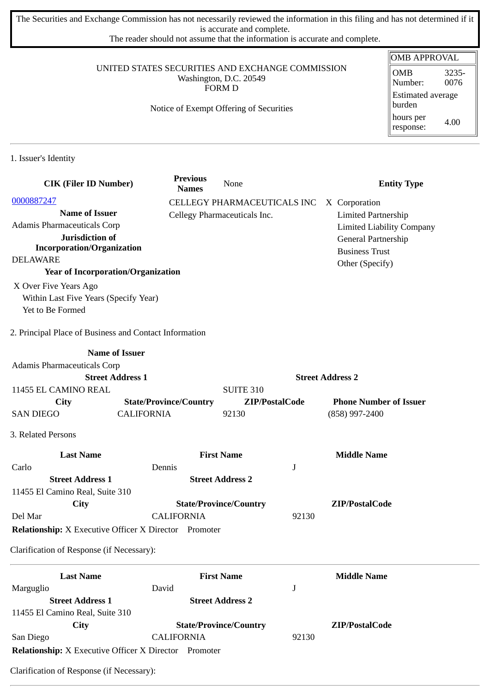The Securities and Exchange Commission has not necessarily reviewed the information in this filing and has not determined if it is accurate and complete.

The reader should not assume that the information is accurate and complete.

## UNITED STATES SECURITIES AND EXCHANGE COMMISSION Washington, D.C. 20549 FORM D

## Notice of Exempt Offering of Securities

| OMB APPROVAL                       |               |  |  |
|------------------------------------|---------------|--|--|
| OMB<br>Number:                     | 3235-<br>0076 |  |  |
| <b>Estimated average</b><br>burden |               |  |  |
| hours per<br>response:             | 4.00          |  |  |

1. Issuer's Identity

| <b>CIK (Filer ID Number)</b>                                 |                   | <b>Previous</b><br><b>Names</b> | None                          |       | <b>Entity Type</b>               |
|--------------------------------------------------------------|-------------------|---------------------------------|-------------------------------|-------|----------------------------------|
| 0000887247                                                   |                   |                                 | CELLEGY PHARMACEUTICALS INC   |       | X Corporation                    |
| <b>Name of Issuer</b>                                        |                   |                                 | Cellegy Pharmaceuticals Inc.  |       | <b>Limited Partnership</b>       |
| <b>Adamis Pharmaceuticals Corp</b>                           |                   |                                 |                               |       | <b>Limited Liability Company</b> |
| Jurisdiction of                                              |                   |                                 |                               |       | General Partnership              |
| <b>Incorporation/Organization</b>                            |                   |                                 |                               |       | <b>Business Trust</b>            |
| <b>DELAWARE</b>                                              |                   |                                 |                               |       | Other (Specify)                  |
| <b>Year of Incorporation/Organization</b>                    |                   |                                 |                               |       |                                  |
| X Over Five Years Ago                                        |                   |                                 |                               |       |                                  |
| Within Last Five Years (Specify Year)                        |                   |                                 |                               |       |                                  |
| Yet to Be Formed                                             |                   |                                 |                               |       |                                  |
| 2. Principal Place of Business and Contact Information       |                   |                                 |                               |       |                                  |
| <b>Name of Issuer</b>                                        |                   |                                 |                               |       |                                  |
| Adamis Pharmaceuticals Corp                                  |                   |                                 |                               |       |                                  |
| <b>Street Address 1</b>                                      |                   |                                 |                               |       | <b>Street Address 2</b>          |
| 11455 EL CAMINO REAL                                         |                   |                                 | <b>SUITE 310</b>              |       |                                  |
| City                                                         |                   | <b>State/Province/Country</b>   | ZIP/PostalCode                |       | <b>Phone Number of Issuer</b>    |
| <b>SAN DIEGO</b>                                             | <b>CALIFORNIA</b> |                                 | 92130                         |       | (858) 997-2400                   |
| 3. Related Persons                                           |                   |                                 |                               |       |                                  |
| <b>Last Name</b>                                             |                   |                                 | <b>First Name</b>             |       | <b>Middle Name</b>               |
| Carlo                                                        | Dennis            |                                 |                               | J     |                                  |
| <b>Street Address 1</b>                                      |                   |                                 | <b>Street Address 2</b>       |       |                                  |
| 11455 El Camino Real, Suite 310                              |                   |                                 |                               |       |                                  |
| City                                                         |                   |                                 | <b>State/Province/Country</b> |       | ZIP/PostalCode                   |
| Del Mar                                                      |                   | <b>CALIFORNIA</b>               |                               | 92130 |                                  |
| <b>Relationship:</b> X Executive Officer X Director Promoter |                   |                                 |                               |       |                                  |
| Clarification of Response (if Necessary):                    |                   |                                 |                               |       |                                  |
| <b>Last Name</b>                                             |                   |                                 | <b>First Name</b>             |       | <b>Middle Name</b>               |
| Marguglio                                                    | David             |                                 |                               | J     |                                  |
| <b>Street Address 1</b>                                      |                   |                                 | <b>Street Address 2</b>       |       |                                  |
| 11455 El Camino Real, Suite 310                              |                   |                                 |                               |       |                                  |
| <b>City</b>                                                  |                   |                                 | <b>State/Province/Country</b> |       | ZIP/PostalCode                   |
| San Diego                                                    |                   | <b>CALIFORNIA</b>               |                               | 92130 |                                  |
| Relationship: X Executive Officer X Director Promoter        |                   |                                 |                               |       |                                  |
|                                                              |                   |                                 |                               |       |                                  |

Clarification of Response (if Necessary):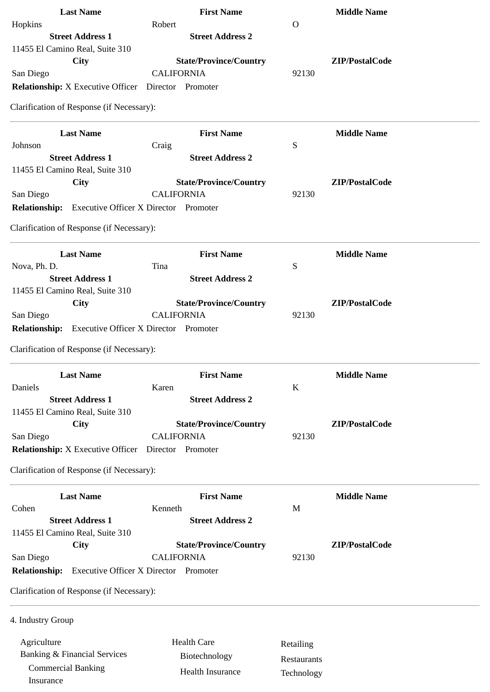| <b>Last Name</b>                                             | <b>First Name</b>                                  |             | <b>Middle Name</b> |
|--------------------------------------------------------------|----------------------------------------------------|-------------|--------------------|
| Hopkins                                                      | Robert                                             | $\Omega$    |                    |
| <b>Street Address 1</b>                                      | <b>Street Address 2</b>                            |             |                    |
| 11455 El Camino Real, Suite 310                              |                                                    |             |                    |
| <b>City</b><br>San Diego                                     | <b>State/Province/Country</b><br><b>CALIFORNIA</b> | 92130       | ZIP/PostalCode     |
| <b>Relationship:</b> X Executive Officer Director Promoter   |                                                    |             |                    |
|                                                              |                                                    |             |                    |
| Clarification of Response (if Necessary):                    |                                                    |             |                    |
| <b>Last Name</b>                                             | <b>First Name</b>                                  |             | <b>Middle Name</b> |
| Johnson                                                      | Craig                                              | S           |                    |
| <b>Street Address 1</b>                                      | <b>Street Address 2</b>                            |             |                    |
| 11455 El Camino Real, Suite 310                              |                                                    |             |                    |
| City                                                         | <b>State/Province/Country</b><br><b>CALIFORNIA</b> | 92130       | ZIP/PostalCode     |
| San Diego<br><b>Relationship:</b>                            | <b>Executive Officer X Director Promoter</b>       |             |                    |
|                                                              |                                                    |             |                    |
| Clarification of Response (if Necessary):                    |                                                    |             |                    |
| <b>Last Name</b>                                             | <b>First Name</b>                                  |             | <b>Middle Name</b> |
| Nova, Ph. D.                                                 | Tina                                               | S           |                    |
| <b>Street Address 1</b>                                      | <b>Street Address 2</b>                            |             |                    |
| 11455 El Camino Real, Suite 310                              |                                                    |             |                    |
| City                                                         | <b>State/Province/Country</b>                      |             | ZIP/PostalCode     |
| San Diego                                                    | <b>CALIFORNIA</b>                                  | 92130       |                    |
| <b>Relationship:</b>                                         | <b>Executive Officer X Director Promoter</b>       |             |                    |
| Clarification of Response (if Necessary):                    |                                                    |             |                    |
| <b>Last Name</b>                                             | <b>First Name</b>                                  |             | <b>Middle Name</b> |
| Daniels                                                      | Karen                                              | K           |                    |
| <b>Street Address 1</b>                                      | <b>Street Address 2</b>                            |             |                    |
| 11455 El Camino Real, Suite 310                              |                                                    |             |                    |
| City                                                         | <b>State/Province/Country</b>                      |             | ZIP/PostalCode     |
| San Diego                                                    | <b>CALIFORNIA</b>                                  | 92130       |                    |
| <b>Relationship:</b> X Executive Officer  Director  Promoter |                                                    |             |                    |
| Clarification of Response (if Necessary):                    |                                                    |             |                    |
| <b>Last Name</b>                                             | <b>First Name</b>                                  |             | <b>Middle Name</b> |
| Cohen                                                        | Kenneth                                            | M           |                    |
| <b>Street Address 1</b>                                      | <b>Street Address 2</b>                            |             |                    |
| 11455 El Camino Real, Suite 310                              |                                                    |             |                    |
| <b>City</b>                                                  | <b>State/Province/Country</b>                      |             | ZIP/PostalCode     |
| San Diego                                                    | <b>CALIFORNIA</b>                                  | 92130       |                    |
| <b>Relationship:</b>                                         | <b>Executive Officer X Director Promoter</b>       |             |                    |
| Clarification of Response (if Necessary):                    |                                                    |             |                    |
| 4. Industry Group                                            |                                                    |             |                    |
|                                                              |                                                    |             |                    |
| Agriculture                                                  | <b>Health Care</b>                                 | Retailing   |                    |
| <b>Banking &amp; Financial Services</b>                      | Biotechnology                                      | Restaurants |                    |
| <b>Commercial Banking</b><br>Insurance                       | <b>Health Insurance</b>                            | Technology  |                    |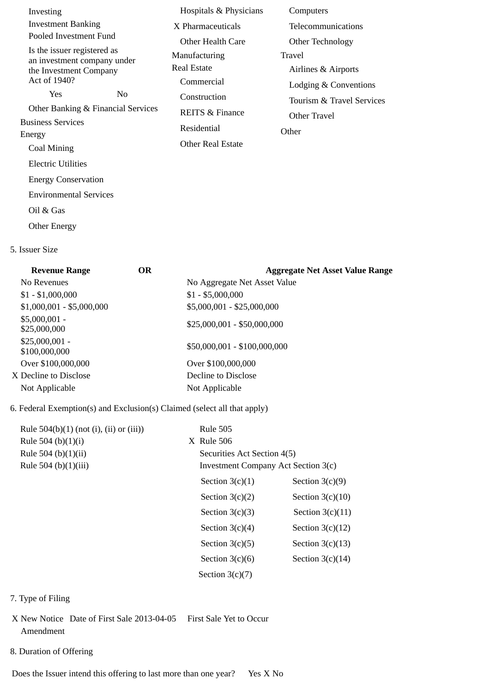| Investing                                                  | Hospitals & Physicians     | Computers                 |
|------------------------------------------------------------|----------------------------|---------------------------|
| <b>Investment Banking</b>                                  | X Pharmaceuticals          | Telecommunications        |
| Pooled Investment Fund                                     | Other Health Care          | Other Technology          |
| Is the issuer registered as<br>an investment company under | Manufacturing              | Travel                    |
| the Investment Company                                     | Real Estate                | Airlines & Airports       |
| Act of 1940?                                               | Commercial                 | Lodging & Conventions     |
| Yes<br>N <sub>0</sub>                                      | Construction               | Tourism & Travel Services |
| Other Banking & Financial Services                         | <b>REITS &amp; Finance</b> | Other Travel              |
| <b>Business Services</b>                                   | Residential                | Other                     |
| Energy                                                     | Other Real Estate          |                           |
| Coal Mining                                                |                            |                           |
| <b>Electric Utilities</b>                                  |                            |                           |
| <b>Energy Conservation</b>                                 |                            |                           |
| <b>Environmental Services</b>                              |                            |                           |
| Oil & Gas                                                  |                            |                           |
| <b>Other Energy</b>                                        |                            |                           |

5. Issuer Size

| <b>OR</b> | <b>Aggregate Net Asset Value Range</b> |
|-----------|----------------------------------------|
|           | No Aggregate Net Asset Value           |
|           | $$1 - $5,000,000$                      |
|           | \$5,000,001 - \$25,000,000             |
|           | $$25,000,001 - $50,000,000$            |
|           | \$50,000,001 - \$100,000,000           |
|           | Over \$100,000,000                     |
|           | Decline to Disclose                    |
|           | Not Applicable                         |
|           |                                        |

## 6. Federal Exemption(s) and Exclusion(s) Claimed (select all that apply)

| Rule $504(b)(1)$ (not (i), (ii) or (iii)) | <b>Rule 505</b>                     |                    |
|-------------------------------------------|-------------------------------------|--------------------|
| Rule 504 (b) $(1)(i)$                     | X Rule 506                          |                    |
| Rule 504 (b)(1)(ii)                       | Securities Act Section 4(5)         |                    |
| Rule 504 (b)(1)(iii)                      | Investment Company Act Section 3(c) |                    |
|                                           | Section $3(c)(1)$                   | Section $3(c)(9)$  |
|                                           | Section $3(c)(2)$                   | Section $3(c)(10)$ |
|                                           | Section $3(c)(3)$                   | Section $3(c)(11)$ |
|                                           | Section $3(c)(4)$                   | Section $3(c)(12)$ |
|                                           | Section $3(c)(5)$                   | Section $3(c)(13)$ |
|                                           | Section $3(c)(6)$                   | Section $3(c)(14)$ |
|                                           | Section $3(c)(7)$                   |                    |
|                                           |                                     |                    |

- 7. Type of Filing
- X New Notice Date of First Sale 2013-04-05 First Sale Yet to Occur Amendment
- 8. Duration of Offering

Does the Issuer intend this offering to last more than one year? Yes X No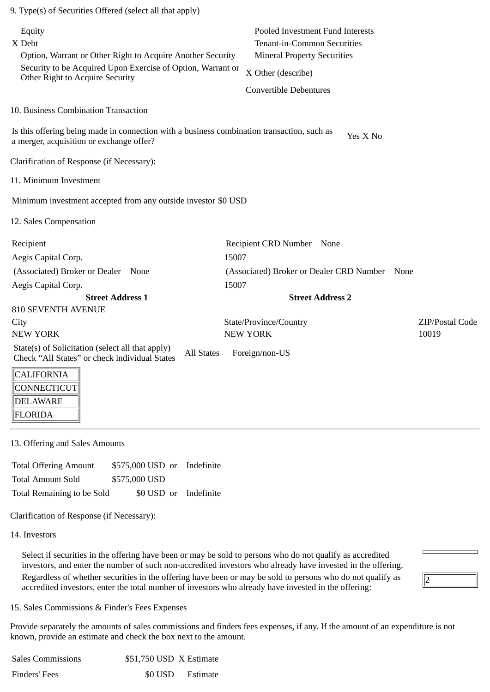| 9. Type(s) of Securities Offered (select all that apply)                                                                               |                                                                                                              |                 |
|----------------------------------------------------------------------------------------------------------------------------------------|--------------------------------------------------------------------------------------------------------------|-----------------|
| Equity<br>X Debt<br>Option, Warrant or Other Right to Acquire Another Security                                                         | Pooled Investment Fund Interests<br><b>Tenant-in-Common Securities</b><br><b>Mineral Property Securities</b> |                 |
| Security to be Acquired Upon Exercise of Option, Warrant or<br>Other Right to Acquire Security                                         | X Other (describe)                                                                                           |                 |
|                                                                                                                                        | <b>Convertible Debentures</b>                                                                                |                 |
| 10. Business Combination Transaction                                                                                                   |                                                                                                              |                 |
| Is this offering being made in connection with a business combination transaction, such as<br>a merger, acquisition or exchange offer? | Yes X No                                                                                                     |                 |
| Clarification of Response (if Necessary):                                                                                              |                                                                                                              |                 |
| 11. Minimum Investment                                                                                                                 |                                                                                                              |                 |
| Minimum investment accepted from any outside investor \$0 USD                                                                          |                                                                                                              |                 |
| 12. Sales Compensation                                                                                                                 |                                                                                                              |                 |
| Recipient                                                                                                                              | Recipient CRD Number None                                                                                    |                 |
| Aegis Capital Corp.                                                                                                                    | 15007                                                                                                        |                 |
| (Associated) Broker or Dealer None                                                                                                     | (Associated) Broker or Dealer CRD Number<br>None                                                             |                 |
| Aegis Capital Corp.                                                                                                                    | 15007                                                                                                        |                 |
| <b>Street Address 1</b>                                                                                                                | <b>Street Address 2</b>                                                                                      |                 |
| <b>810 SEVENTH AVENUE</b>                                                                                                              |                                                                                                              |                 |
| City                                                                                                                                   | State/Province/Country                                                                                       | ZIP/Postal Code |
| <b>NEW YORK</b>                                                                                                                        | <b>NEW YORK</b>                                                                                              | 10019           |
| State(s) of Solicitation (select all that apply)<br><b>All States</b><br>Check "All States" or check individual States                 | Foreign/non-US                                                                                               |                 |
| <b>CALIFORNIA</b><br>CONNECTICUT<br><b>DELAWARE</b>                                                                                    |                                                                                                              |                 |

13. Offering and Sales Amounts

Total Offering Amount \$575,000 USD or Indefinite Total Amount Sold \$575,000 USD Total Remaining to be Sold \$0 USD or Indefinite

Clarification of Response (if Necessary):

14. Investors

FLORIDA

Select if securities in the offering have been or may be sold to persons who do not qualify as accredited investors, and enter the number of such non-accredited investors who already have invested in the offering. Regardless of whether securities in the offering have been or may be sold to persons who do not qualify as accredited investors, enter the total number of investors who already have invested in the offering:

2

15. Sales Commissions & Finder's Fees Expenses

Provide separately the amounts of sales commissions and finders fees expenses, if any. If the amount of an expenditure is not known, provide an estimate and check the box next to the amount.

| <b>Sales Commissions</b> | \$51,750 USD X Estimate |                  |
|--------------------------|-------------------------|------------------|
| Finders' Fees            |                         | \$0 USD Estimate |